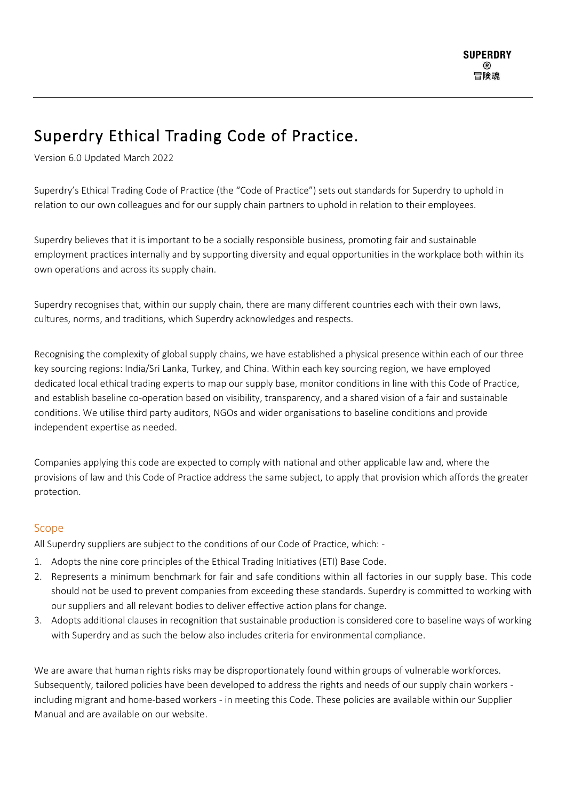# Superdry Ethical Trading Code of Practice.

Version 6.0 Updated March 2022

Superdry's Ethical Trading Code of Practice (the "Code of Practice") sets out standards for Superdry to uphold in relation to our own colleagues and for our supply chain partners to uphold in relation to their employees.

Superdry believes that it is important to be a socially responsible business, promoting fair and sustainable employment practices internally and by supporting diversity and equal opportunities in the workplace both within its own operations and across its supply chain.

Superdry recognises that, within our supply chain, there are many different countries each with their own laws, cultures, norms, and traditions, which Superdry acknowledges and respects.

Recognising the complexity of global supply chains, we have established a physical presence within each of our three key sourcing regions: India/Sri Lanka, Turkey, and China. Within each key sourcing region, we have employed dedicated local ethical trading experts to map our supply base, monitor conditions in line with this Code of Practice, and establish baseline co-operation based on visibility, transparency, and a shared vision of a fair and sustainable conditions. We utilise third party auditors, NGOs and wider organisations to baseline conditions and provide independent expertise as needed.

Companies applying this code are expected to comply with national and other applicable law and, where the provisions of law and this Code of Practice address the same subject, to apply that provision which affords the greater protection.

# Scope

All Superdry suppliers are subject to the conditions of our Code of Practice, which: -

- 1. Adopts the nine core principles of the Ethical Trading Initiatives (ETI) Base Code.
- 2. Represents a minimum benchmark for fair and safe conditions within all factories in our supply base. This code should not be used to prevent companies from exceeding these standards. Superdry is committed to working with our suppliers and all relevant bodies to deliver effective action plans for change.
- 3. Adopts additional clauses in recognition that sustainable production is considered core to baseline ways of working with Superdry and as such the below also includes criteria for environmental compliance.

We are aware that human rights risks may be disproportionately found within groups of vulnerable workforces. Subsequently, tailored policies have been developed to address the rights and needs of our supply chain workers including migrant and home-based workers - in meeting this Code. These policies are available within our Supplier Manual and are available on our website.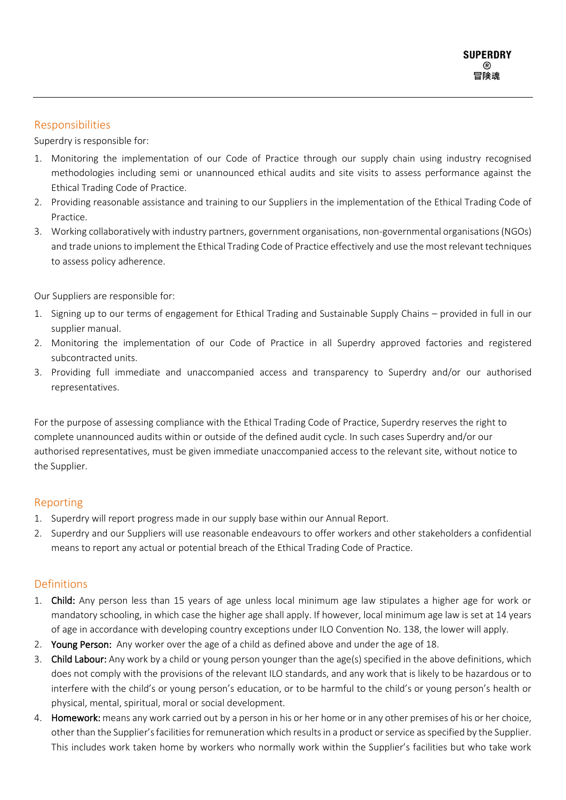# Responsibilities

Superdry is responsible for:

- 1. Monitoring the implementation of our Code of Practice through our supply chain using industry recognised methodologies including semi or unannounced ethical audits and site visits to assess performance against the Ethical Trading Code of Practice.
- 2. Providing reasonable assistance and training to our Suppliers in the implementation of the Ethical Trading Code of Practice.
- 3. Working collaboratively with industry partners, government organisations, non-governmental organisations (NGOs) and trade unions to implement the Ethical Trading Code of Practice effectively and use the most relevant techniques to assess policy adherence.

Our Suppliers are responsible for:

- 1. Signing up to our terms of engagement for Ethical Trading and Sustainable Supply Chains provided in full in our supplier manual.
- 2. Monitoring the implementation of our Code of Practice in all Superdry approved factories and registered subcontracted units.
- 3. Providing full immediate and unaccompanied access and transparency to Superdry and/or our authorised representatives.

For the purpose of assessing compliance with the Ethical Trading Code of Practice, Superdry reserves the right to complete unannounced audits within or outside of the defined audit cycle. In such cases Superdry and/or our authorised representatives, must be given immediate unaccompanied access to the relevant site, without notice to the Supplier.

## Reporting

- 1. Superdry will report progress made in our supply base within our Annual Report.
- 2. Superdry and our Suppliers will use reasonable endeavours to offer workers and other stakeholders a confidential means to report any actual or potential breach of the Ethical Trading Code of Practice.

# **Definitions**

- 1. Child: Any person less than 15 years of age unless local minimum age law stipulates a higher age for work or mandatory schooling, in which case the higher age shall apply. If however, local minimum age law is set at 14 years of age in accordance with developing country exceptions under ILO Convention No. 138, the lower will apply.
- 2. Young Person: Any worker over the age of a child as defined above and under the age of 18.
- 3. Child Labour: Any work by a child or young person younger than the age(s) specified in the above definitions, which does not comply with the provisions of the relevant ILO standards, and any work that is likely to be hazardous or to interfere with the child's or young person's education, or to be harmful to the child's or young person's health or physical, mental, spiritual, moral or social development.
- 4. Homework: means any work carried out by a person in his or her home or in any other premises of his or her choice, other than the Supplier's facilities for remuneration which results in a product or service as specified by the Supplier. This includes work taken home by workers who normally work within the Supplier's facilities but who take work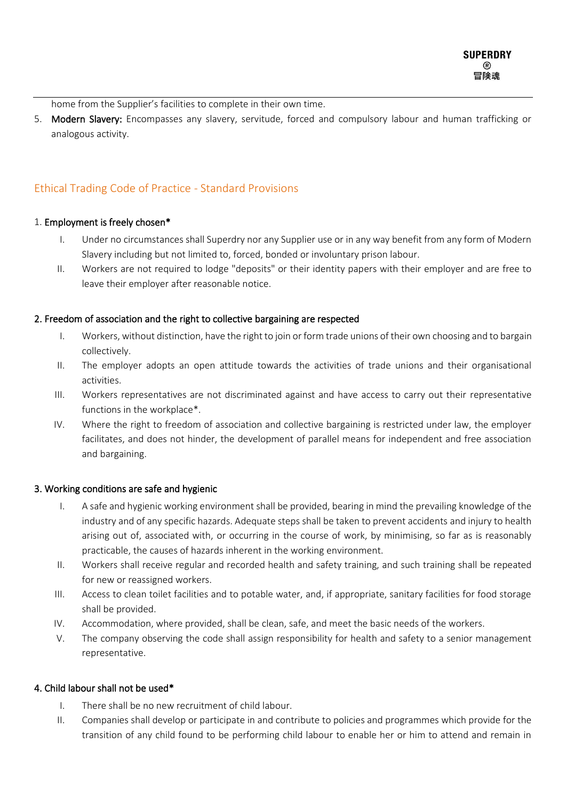home from the Supplier's facilities to complete in their own time.

5. Modern Slavery: Encompasses any slavery, servitude, forced and compulsory labour and human trafficking or analogous activity.

# Ethical Trading Code of Practice - Standard Provisions

#### 1. Employment is freely chosen\*

- I. Under no circumstances shall Superdry nor any Supplier use or in any way benefit from any form of Modern Slavery including but not limited to, forced, bonded or involuntary prison labour.
- II. Workers are not required to lodge "deposits" or their identity papers with their employer and are free to leave their employer after reasonable notice.

## 2. Freedom of association and the right to collective bargaining are respected

- I. Workers, without distinction, have the right to join or form trade unions of their own choosing and to bargain collectively.
- II. The employer adopts an open attitude towards the activities of trade unions and their organisational activities.
- III. Workers representatives are not discriminated against and have access to carry out their representative functions in the workplace\*.
- IV. Where the right to freedom of association and collective bargaining is restricted under law, the employer facilitates, and does not hinder, the development of parallel means for independent and free association and bargaining.

#### 3. Working conditions are safe and hygienic

- I. A safe and hygienic working environment shall be provided, bearing in mind the prevailing knowledge of the industry and of any specific hazards. Adequate steps shall be taken to prevent accidents and injury to health arising out of, associated with, or occurring in the course of work, by minimising, so far as is reasonably practicable, the causes of hazards inherent in the working environment.
- II. Workers shall receive regular and recorded health and safety training, and such training shall be repeated for new or reassigned workers.
- III. Access to clean toilet facilities and to potable water, and, if appropriate, sanitary facilities for food storage shall be provided.
- IV. Accommodation, where provided, shall be clean, safe, and meet the basic needs of the workers.
- V. The company observing the code shall assign responsibility for health and safety to a senior management representative.

#### 4. Child labour shall not be used\*

- I. There shall be no new recruitment of child labour.
- II. Companies shall develop or participate in and contribute to policies and programmes which provide for the transition of any child found to be performing child labour to enable her or him to attend and remain in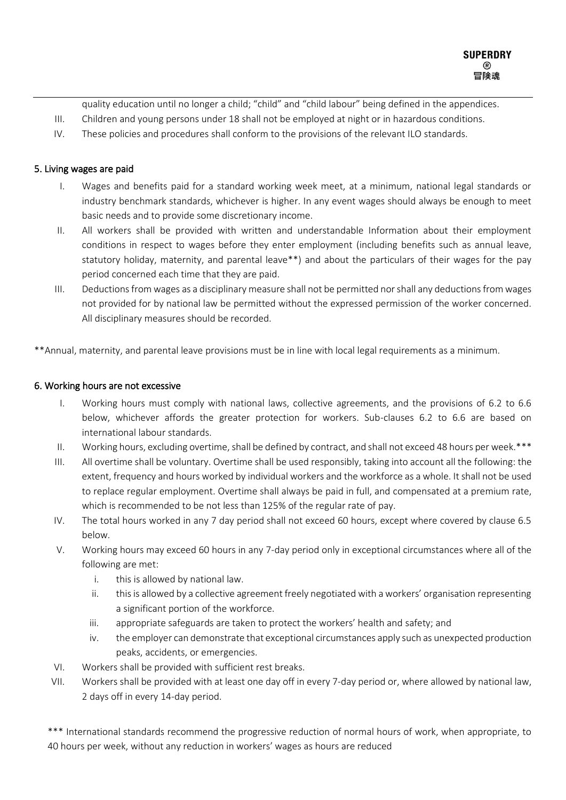quality education until no longer a child; "child" and "child labour" being defined in the appendices.

- III. Children and young persons under 18 shall not be employed at night or in hazardous conditions.
- IV. These policies and procedures shall conform to the provisions of the relevant ILO standards.

## 5. Living wages are paid

- I. Wages and benefits paid for a standard working week meet, at a minimum, national legal standards or industry benchmark standards, whichever is higher. In any event wages should always be enough to meet basic needs and to provide some discretionary income.
- II. All workers shall be provided with written and understandable Information about their employment conditions in respect to wages before they enter employment (including benefits such as annual leave, statutory holiday, maternity, and parental leave\*\*) and about the particulars of their wages for the pay period concerned each time that they are paid.
- III. Deductionsfrom wages as a disciplinary measure shall not be permitted nor shall any deductions from wages not provided for by national law be permitted without the expressed permission of the worker concerned. All disciplinary measures should be recorded.

\*\*Annual, maternity, and parental leave provisions must be in line with local legal requirements as a minimum.

#### 6. Working hours are not excessive

- I. Working hours must comply with national laws, collective agreements, and the provisions of 6.2 to 6.6 below, whichever affords the greater protection for workers. Sub-clauses 6.2 to 6.6 are based on international labour standards.
- II. Working hours, excluding overtime, shall be defined by contract, and shall not exceed 48 hours per week.\*\*\*
- III. All overtime shall be voluntary. Overtime shall be used responsibly, taking into account all the following: the extent, frequency and hours worked by individual workers and the workforce as a whole. It shall not be used to replace regular employment. Overtime shall always be paid in full, and compensated at a premium rate, which is recommended to be not less than 125% of the regular rate of pay.
- IV. The total hours worked in any 7 day period shall not exceed 60 hours, except where covered by clause 6.5 below.
- V. Working hours may exceed 60 hours in any 7-day period only in exceptional circumstances where all of the following are met:
	- i. this is allowed by national law.
	- ii. this is allowed by a collective agreement freely negotiated with a workers' organisation representing a significant portion of the workforce.
	- iii. appropriate safeguards are taken to protect the workers' health and safety; and
	- iv. the employer can demonstrate that exceptional circumstances apply such as unexpected production peaks, accidents, or emergencies.
- VI. Workers shall be provided with sufficient rest breaks.
- VII. Workers shall be provided with at least one day off in every 7-day period or, where allowed by national law, 2 days off in every 14-day period.

\*\*\* International standards recommend the progressive reduction of normal hours of work, when appropriate, to 40 hours per week, without any reduction in workers' wages as hours are reduced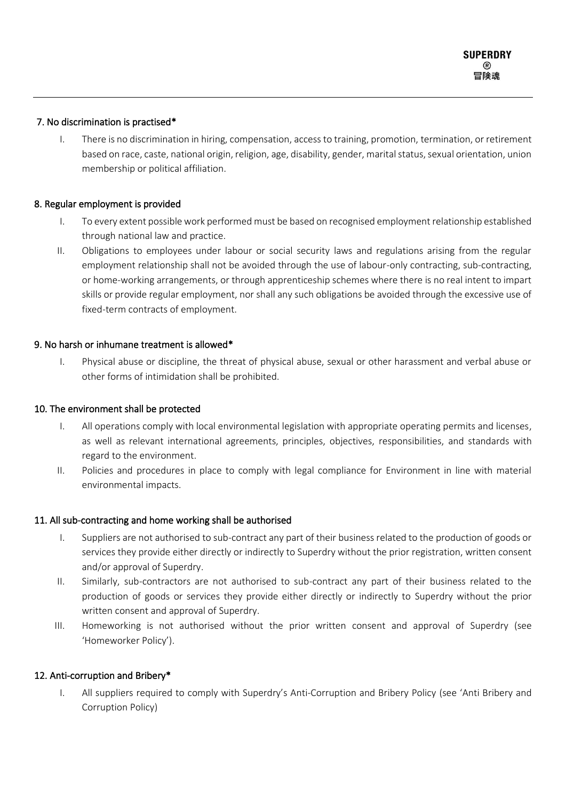## 7. No discrimination is practised\*

I. There is no discrimination in hiring, compensation, access to training, promotion, termination, or retirement based on race, caste, national origin, religion, age, disability, gender, marital status, sexual orientation, union membership or political affiliation.

## 8. Regular employment is provided

- I. To every extent possible work performed must be based on recognised employment relationship established through national law and practice.
- II. Obligations to employees under labour or social security laws and regulations arising from the regular employment relationship shall not be avoided through the use of labour-only contracting, sub-contracting, or home-working arrangements, or through apprenticeship schemes where there is no real intent to impart skills or provide regular employment, nor shall any such obligations be avoided through the excessive use of fixed-term contracts of employment.

## 9. No harsh or inhumane treatment is allowed\*

I. Physical abuse or discipline, the threat of physical abuse, sexual or other harassment and verbal abuse or other forms of intimidation shall be prohibited.

#### 10. The environment shall be protected

- I. All operations comply with local environmental legislation with appropriate operating permits and licenses, as well as relevant international agreements, principles, objectives, responsibilities, and standards with regard to the environment.
- II. Policies and procedures in place to comply with legal compliance for Environment in line with material environmental impacts.

#### 11. All sub-contracting and home working shall be authorised

- I. Suppliers are not authorised to sub-contract any part of their business related to the production of goods or services they provide either directly or indirectly to Superdry without the prior registration, written consent and/or approval of Superdry.
- II. Similarly, sub-contractors are not authorised to sub-contract any part of their business related to the production of goods or services they provide either directly or indirectly to Superdry without the prior written consent and approval of Superdry.
- III. Homeworking is not authorised without the prior written consent and approval of Superdry (see 'Homeworker Policy').

## 12. Anti-corruption and Bribery\*

I. All suppliers required to comply with Superdry's Anti-Corruption and Bribery Policy (see 'Anti Bribery and Corruption Policy)